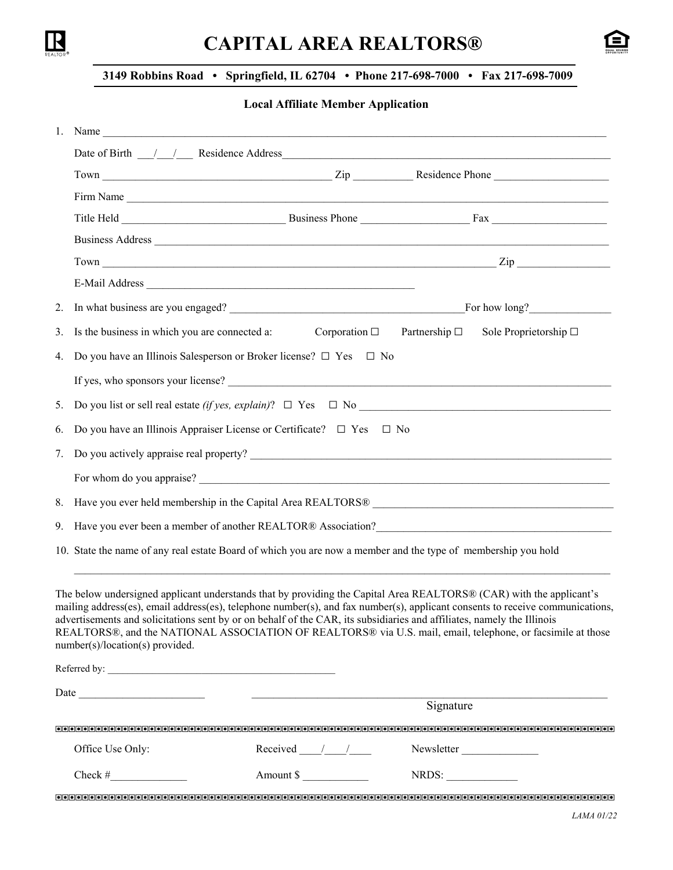

# **CAPITAL AREA REALTORS®**



### **3149 Robbins Road • Springfield, IL 62704 • Phone 217-698-7000 • Fax 217-698-7009**

#### **Local Affiliate Member Application**

|    |                                                                                                                                                                                                                               | 1. Name $\frac{1}{\sqrt{1-\frac{1}{2}}\sqrt{1-\frac{1}{2}}\sqrt{1-\frac{1}{2}}\sqrt{1-\frac{1}{2}}\sqrt{1-\frac{1}{2}}\sqrt{1-\frac{1}{2}}\sqrt{1-\frac{1}{2}}\sqrt{1-\frac{1}{2}}\sqrt{1-\frac{1}{2}}\sqrt{1-\frac{1}{2}}\sqrt{1-\frac{1}{2}}\sqrt{1-\frac{1}{2}}\sqrt{1-\frac{1}{2}}\sqrt{1-\frac{1}{2}}\sqrt{1-\frac{1}{2}}\sqrt{1-\frac{1}{2}}\sqrt{1-\frac{1}{2}}\sqrt{1-\frac{1}{2}}\sqrt{1-\frac{1}{$                                                                                  |                                             |                               |  |  |  |
|----|-------------------------------------------------------------------------------------------------------------------------------------------------------------------------------------------------------------------------------|-----------------------------------------------------------------------------------------------------------------------------------------------------------------------------------------------------------------------------------------------------------------------------------------------------------------------------------------------------------------------------------------------------------------------------------------------------------------------------------------------|---------------------------------------------|-------------------------------|--|--|--|
|    | Date of Birth 11 12 2000 Residence Address 2000 Contract to the Residence Address 2000 Contract 2000 Contract 2000 Contract 2000 Contract 2000 Contract 2000 Contract 2000 Contract 2000 Contract 2000 Contract 2000 Contract |                                                                                                                                                                                                                                                                                                                                                                                                                                                                                               |                                             |                               |  |  |  |
|    |                                                                                                                                                                                                                               |                                                                                                                                                                                                                                                                                                                                                                                                                                                                                               |                                             |                               |  |  |  |
|    |                                                                                                                                                                                                                               | Firm Name                                                                                                                                                                                                                                                                                                                                                                                                                                                                                     |                                             |                               |  |  |  |
|    |                                                                                                                                                                                                                               |                                                                                                                                                                                                                                                                                                                                                                                                                                                                                               |                                             |                               |  |  |  |
|    |                                                                                                                                                                                                                               | Business Address Land and the Contract of the Contract of the Contract of the Contract of the Contract of the Contract of the Contract of the Contract of the Contract of the Contract of the Contract of the Contract of the                                                                                                                                                                                                                                                                 |                                             |                               |  |  |  |
|    |                                                                                                                                                                                                                               | $Town$ $\frac{Zip}{Zip}$                                                                                                                                                                                                                                                                                                                                                                                                                                                                      |                                             |                               |  |  |  |
|    |                                                                                                                                                                                                                               |                                                                                                                                                                                                                                                                                                                                                                                                                                                                                               |                                             |                               |  |  |  |
| 2. |                                                                                                                                                                                                                               |                                                                                                                                                                                                                                                                                                                                                                                                                                                                                               |                                             |                               |  |  |  |
| 3. | Is the business in which you are connected a:                                                                                                                                                                                 |                                                                                                                                                                                                                                                                                                                                                                                                                                                                                               | Corporation $\square$ Partnership $\square$ | Sole Proprietorship $\square$ |  |  |  |
| 4. |                                                                                                                                                                                                                               | Do you have an Illinois Salesperson or Broker license? $\Box$ Yes $\Box$ No                                                                                                                                                                                                                                                                                                                                                                                                                   |                                             |                               |  |  |  |
|    |                                                                                                                                                                                                                               |                                                                                                                                                                                                                                                                                                                                                                                                                                                                                               |                                             |                               |  |  |  |
| 5. |                                                                                                                                                                                                                               |                                                                                                                                                                                                                                                                                                                                                                                                                                                                                               |                                             |                               |  |  |  |
| 6. |                                                                                                                                                                                                                               | Do you have an Illinois Appraiser License or Certificate? $\Box$ Yes                                                                                                                                                                                                                                                                                                                                                                                                                          | $\Box$ No                                   |                               |  |  |  |
| 7. |                                                                                                                                                                                                                               |                                                                                                                                                                                                                                                                                                                                                                                                                                                                                               |                                             |                               |  |  |  |
|    |                                                                                                                                                                                                                               |                                                                                                                                                                                                                                                                                                                                                                                                                                                                                               |                                             |                               |  |  |  |
|    |                                                                                                                                                                                                                               |                                                                                                                                                                                                                                                                                                                                                                                                                                                                                               |                                             |                               |  |  |  |
|    |                                                                                                                                                                                                                               | 9. Have you ever been a member of another REALTOR® Association?<br><u>Letter and the contract of another REALTOR® Association?</u>                                                                                                                                                                                                                                                                                                                                                            |                                             |                               |  |  |  |
|    |                                                                                                                                                                                                                               | 10. State the name of any real estate Board of which you are now a member and the type of membership you hold                                                                                                                                                                                                                                                                                                                                                                                 |                                             |                               |  |  |  |
|    | number(s)/location(s) provided.                                                                                                                                                                                               | The below undersigned applicant understands that by providing the Capital Area REALTORS® (CAR) with the applicant's<br>mailing address(es), email address(es), telephone number(s), and fax number(s), applicant consents to receive communications,<br>advertisements and solicitations sent by or on behalf of the CAR, its subsidiaries and affiliates, namely the Illinois<br>REALTORS®, and the NATIONAL ASSOCIATION OF REALTORS® via U.S. mail, email, telephone, or facsimile at those |                                             |                               |  |  |  |
|    |                                                                                                                                                                                                                               |                                                                                                                                                                                                                                                                                                                                                                                                                                                                                               |                                             |                               |  |  |  |
|    |                                                                                                                                                                                                                               |                                                                                                                                                                                                                                                                                                                                                                                                                                                                                               |                                             |                               |  |  |  |
|    |                                                                                                                                                                                                                               |                                                                                                                                                                                                                                                                                                                                                                                                                                                                                               | Signature                                   |                               |  |  |  |
|    |                                                                                                                                                                                                                               |                                                                                                                                                                                                                                                                                                                                                                                                                                                                                               |                                             |                               |  |  |  |
|    | Office Use Only:                                                                                                                                                                                                              | Received $\frac{1}{\sqrt{1-\frac{1}{2}}}$                                                                                                                                                                                                                                                                                                                                                                                                                                                     |                                             | Newsletter                    |  |  |  |
|    | Check # $\qquad$                                                                                                                                                                                                              | Amount \$                                                                                                                                                                                                                                                                                                                                                                                                                                                                                     | NRDS:                                       |                               |  |  |  |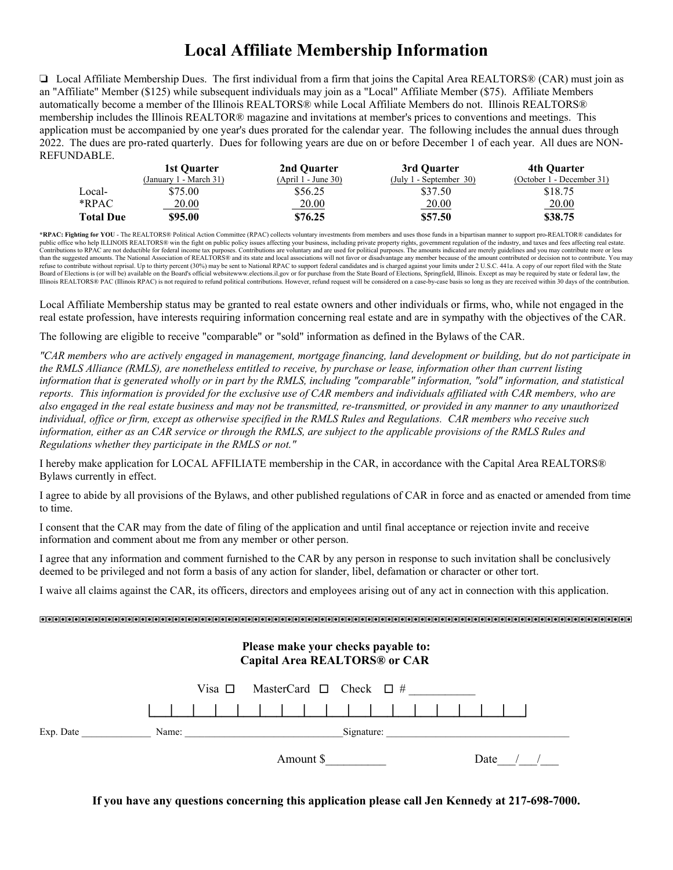## **Local Affiliate Membership Information**

 $\Box$  Local Affiliate Membership Dues. The first individual from a firm that joins the Capital Area REALTORS® (CAR) must join as an "Affiliate" Member (\$125) while subsequent individuals may join as a "Local" Affiliate Member (\$75). Affiliate Members automatically become a member of the Illinois REALTORS® while Local Affiliate Members do not. Illinois REALTORS® membership includes the Illinois REALTOR® magazine and invitations at member's prices to conventions and meetings. This application must be accompanied by one year's dues prorated for the calendar year. The following includes the annual dues through 2022. The dues are pro-rated quarterly. Dues for following years are due on or before December 1 of each year. All dues are NON-REFUNDABLE.

|                  | 1st Ouarter            | 2nd Ouarter         | 3rd Ouarter             | 4th Ouarter               |
|------------------|------------------------|---------------------|-------------------------|---------------------------|
|                  | (January 1 - March 31) | $(Apri1 - June 30)$ | (July 1 - September 30) | (October 1 - December 31) |
| Local-           | \$75.00                | \$56.25             | \$37.50                 | \$18.75                   |
| $*$ RPAC         | 20.00                  | <u>20.00</u>        | <u>20.00</u>            | 20.00                     |
| <b>Total Due</b> | \$95.00                | \$76.25             | \$57.50                 | \$38.75                   |

**\*RPAC: Fighting for YOU** - The REALTORS® Political Action Committee (RPAC) collects voluntary investments from members and uses those funds in a bipartisan manner to support pro-REALTOR® candidates for public office who help ILLINOIS REALTORS® win the fight on public policy issues affecting your business, including private property rights, government regulation of the industry, and taxes and fees affecting real estate.<br>C refuse to contribute without reprisal. Up to thirty percent (30%) may be sent to National RPAC to support federal candidates and is charged against your limits under 2 U.S.C. 441a. A copy of our report filed with the State Board of Elections is (or will be) available on the Board's official websitewww.elections.il.gov or for purchase from the State Board of Elections, Springfield, Illinois. Except as may be required by state or federal law,

Local Affiliate Membership status may be granted to real estate owners and other individuals or firms, who, while not engaged in the real estate profession, have interests requiring information concerning real estate and are in sympathy with the objectives of the CAR.

The following are eligible to receive "comparable" or "sold" information as defined in the Bylaws of the CAR.

*"CAR members who are actively engaged in management, mortgage financing, land development or building, but do not participate in the RMLS Alliance (RMLS), are nonetheless entitled to receive, by purchase or lease, information other than current listing information that is generated wholly or in part by the RMLS, including "comparable" information, "sold" information, and statistical reports. This information is provided for the exclusive use of CAR members and individuals affiliated with CAR members, who are also engaged in the real estate business and may not be transmitted, re-transmitted, or provided in any manner to any unauthorized individual, office or firm, except as otherwise specified in the RMLS Rules and Regulations. CAR members who receive such information, either as an CAR service or through the RMLS, are subject to the applicable provisions of the RMLS Rules and Regulations whether they participate in the RMLS or not."*

I hereby make application for LOCAL AFFILIATE membership in the CAR, in accordance with the Capital Area REALTORS® Bylaws currently in effect.

I agree to abide by all provisions of the Bylaws, and other published regulations of CAR in force and as enacted or amended from time to time.

I consent that the CAR may from the date of filing of the application and until final acceptance or rejection invite and receive information and comment about me from any member or other person.

I agree that any information and comment furnished to the CAR by any person in response to such invitation shall be conclusively deemed to be privileged and not form a basis of any action for slander, libel, defamation or character or other tort.

I waive all claims against the CAR, its officers, directors and employees arising out of any act in connection with this application.

# **Please make your checks payable to: Capital Area REALTORS® or CAR**  Visa  $\Box$  MasterCard  $\Box$  Check  $\Box$  # .)2)2)2)2)2)2)2)2)2)2)2)2)2)2)2)2)- Exp. Date \_\_\_\_\_\_\_\_\_\_\_\_\_\_ Name: \_\_\_\_\_\_\_\_\_\_\_\_\_\_\_\_\_\_\_\_\_\_\_\_\_\_\_\_\_\_\_\_Signature: \_\_\_\_\_\_\_\_\_\_\_\_\_\_\_\_\_\_\_\_\_\_\_\_\_\_\_\_\_\_\_\_\_\_\_\_\_ Amount \$  $Date$  / /

**If you have any questions concerning this application please call Jen Kennedy at 217-698-7000.**